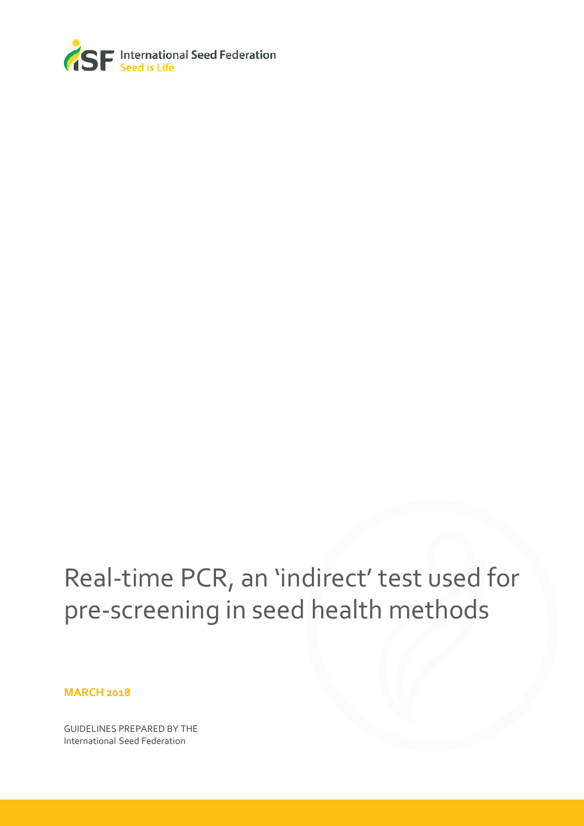

## Real-time PCR, an 'indirect' test used for pre-screening in seed health methods

**MARCH 2018**

GUIDELINES PREPARED BY THE International Seed Federation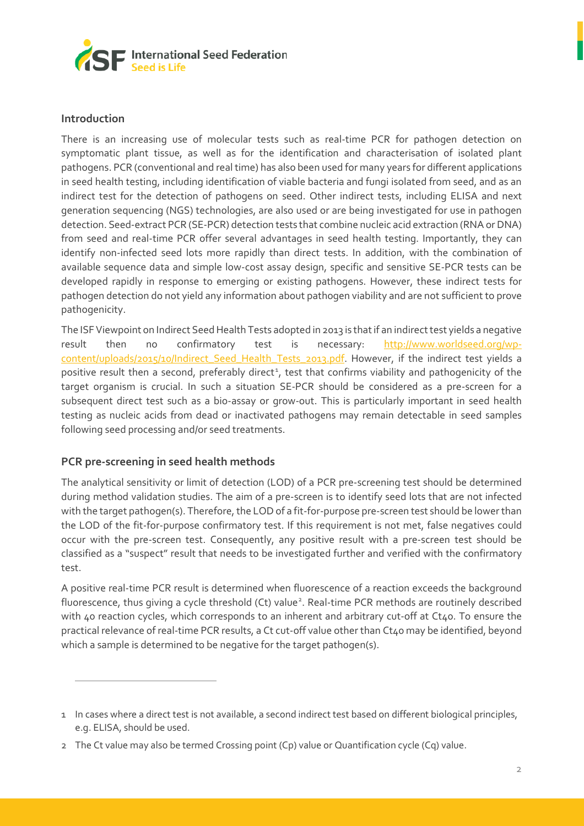

## **Introduction**

 $\overline{1}$ 

There is an increasing use of molecular tests such as real-time PCR for pathogen detection on symptomatic plant tissue, as well as for the identification and characterisation of isolated plant pathogens. PCR (conventional and real time) has also been used for many years for different applications in seed health testing, including identification of viable bacteria and fungi isolated from seed, and as an indirect test for the detection of pathogens on seed. Other indirect tests, including ELISA and next generation sequencing (NGS) technologies, are also used or are being investigated for use in pathogen detection. Seed-extract PCR (SE-PCR) detection tests that combine nucleic acid extraction (RNA or DNA) from seed and real-time PCR offer several advantages in seed health testing. Importantly, they can identify non-infected seed lots more rapidly than direct tests. In addition, with the combination of available sequence data and simple low-cost assay design, specific and sensitive SE-PCR tests can be developed rapidly in response to emerging or existing pathogens. However, these indirect tests for pathogen detection do not yield any information about pathogen viability and are not sufficient to prove pathogenicity.

The ISF Viewpoint on Indirect Seed Health Tests adopted in 2013 is that if an indirect test yields a negative result then no confirmatory test is necessary: [http://www.worldseed.org/wp](http://www.worldseed.org/wp-content/uploads/2015/10/Indirect_Seed_Health_Tests_2013.pdf)[content/uploads/2015/10/Indirect\\_Seed\\_Health\\_Tests\\_2013.pdf.](http://www.worldseed.org/wp-content/uploads/2015/10/Indirect_Seed_Health_Tests_2013.pdf) However, if the indirect test yields a positive result then a second, preferably direct<sup>[1](#page-1-0)</sup>, test that confirms viability and pathogenicity of the target organism is crucial. In such a situation SE-PCR should be considered as a pre-screen for a subsequent direct test such as a bio-assay or grow-out. This is particularly important in seed health testing as nucleic acids from dead or inactivated pathogens may remain detectable in seed samples following seed processing and/or seed treatments.

## **PCR pre-screening in seed health methods**

The analytical sensitivity or limit of detection (LOD) of a PCR pre-screening test should be determined during method validation studies. The aim of a pre-screen is to identify seed lots that are not infected with the target pathogen(s). Therefore, the LOD of a fit-for-purpose pre-screen test should be lower than the LOD of the fit-for-purpose confirmatory test. If this requirement is not met, false negatives could occur with the pre-screen test. Consequently, any positive result with a pre-screen test should be classified as a "suspect" result that needs to be investigated further and verified with the confirmatory test.

A positive real-time PCR result is determined when fluorescence of a reaction exceeds the background fluorescence, thus giving a cycle threshold (Ct) value<sup>[2](#page-1-1)</sup>. Real-time PCR methods are routinely described with 40 reaction cycles, which corresponds to an inherent and arbitrary cut-off at Ct40. To ensure the practical relevance of real-time PCR results, a Ct cut-off value other than Ct40 may be identified, beyond which a sample is determined to be negative for the target pathogen(s).

<span id="page-1-0"></span><sup>1</sup> In cases where a direct test is not available, a second indirect test based on different biological principles, e.g. ELISA, should be used.

<span id="page-1-1"></span><sup>2</sup> The Ct value may also be termed Crossing point (Cp) value or Quantification cycle (Cq) value.